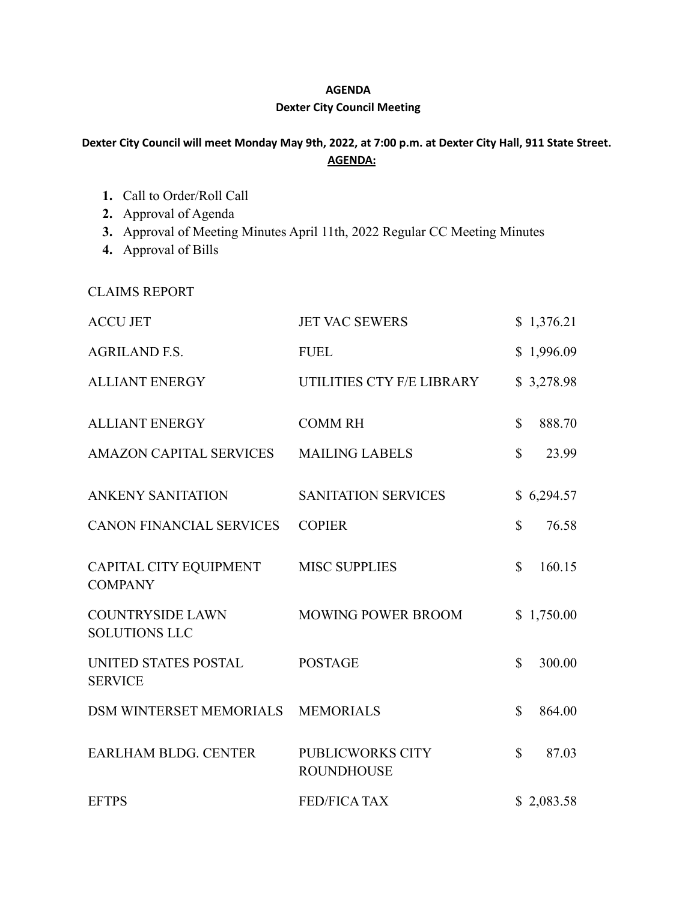## **AGENDA**

## **Dexter City Council Meeting**

## Dexter City Council will meet Monday May 9th, 2022, at 7:00 p.m. at Dexter City Hall, 911 State Street. **AGENDA:**

- **1.** Call to Order/Roll Call
- **2.** Approval of Agenda
- **3.** Approval of Meeting Minutes April 11th, 2022 Regular CC Meeting Minutes
- **4.** Approval of Bills

CLAIMS REPORT

| <b>ACCU JET</b>                                 | <b>JET VAC SEWERS</b>                 |              | \$1,376.21 |
|-------------------------------------------------|---------------------------------------|--------------|------------|
| <b>AGRILAND F.S.</b>                            | <b>FUEL</b>                           |              | \$1,996.09 |
| <b>ALLIANT ENERGY</b>                           | UTILITIES CTY F/E LIBRARY             |              | \$3,278.98 |
| <b>ALLIANT ENERGY</b>                           | <b>COMM RH</b>                        | \$           | 888.70     |
| <b>AMAZON CAPITAL SERVICES</b>                  | <b>MAILING LABELS</b>                 | $\mathbb{S}$ | 23.99      |
| <b>ANKENY SANITATION</b>                        | <b>SANITATION SERVICES</b>            |              | \$6,294.57 |
| <b>CANON FINANCIAL SERVICES</b>                 | <b>COPIER</b>                         | $\mathbb{S}$ | 76.58      |
| CAPITAL CITY EQUIPMENT<br><b>COMPANY</b>        | <b>MISC SUPPLIES</b>                  | $\mathbb{S}$ | 160.15     |
| <b>COUNTRYSIDE LAWN</b><br><b>SOLUTIONS LLC</b> | <b>MOWING POWER BROOM</b>             |              | \$1,750.00 |
| UNITED STATES POSTAL<br><b>SERVICE</b>          | <b>POSTAGE</b>                        | $\mathbb{S}$ | 300.00     |
| <b>DSM WINTERSET MEMORIALS</b>                  | <b>MEMORIALS</b>                      | $\mathbb{S}$ | 864.00     |
| <b>EARLHAM BLDG. CENTER</b>                     | PUBLICWORKS CITY<br><b>ROUNDHOUSE</b> | $\mathbb{S}$ | 87.03      |
| <b>EFTPS</b>                                    | <b>FED/FICA TAX</b>                   |              | \$2,083.58 |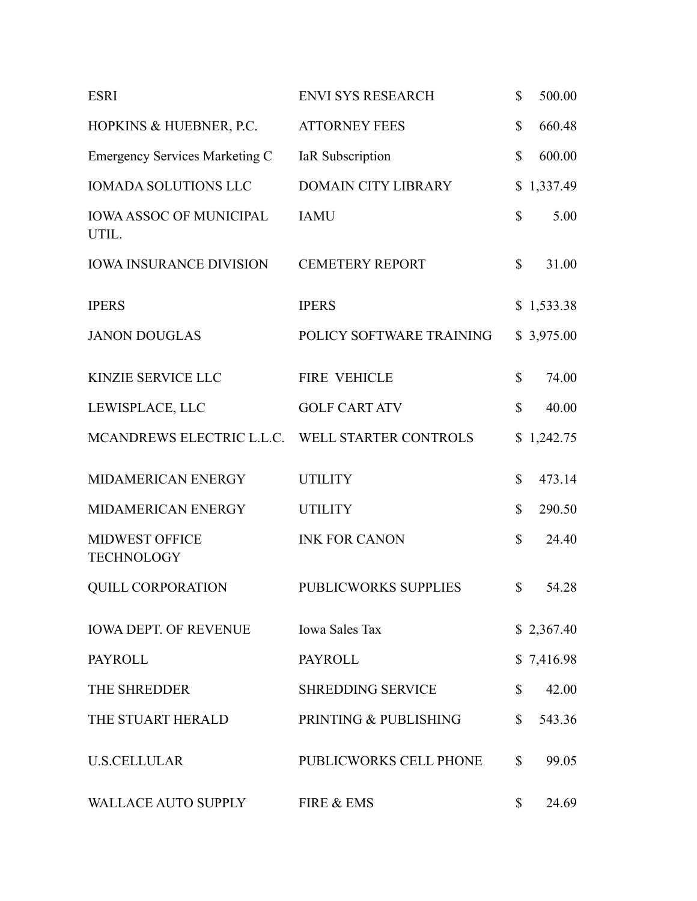| <b>ESRI</b>                                     | <b>ENVI SYS RESEARCH</b>   | $\mathbb{S}$ | 500.00     |
|-------------------------------------------------|----------------------------|--------------|------------|
| HOPKINS & HUEBNER, P.C.                         | <b>ATTORNEY FEES</b>       | $\mathbb{S}$ | 660.48     |
| <b>Emergency Services Marketing C</b>           | IaR Subscription           | $\mathbb{S}$ | 600.00     |
| <b>IOMADA SOLUTIONS LLC</b>                     | <b>DOMAIN CITY LIBRARY</b> |              | \$1,337.49 |
| <b>IOWA ASSOC OF MUNICIPAL</b><br>UTIL.         | <b>IAMU</b>                | $\mathbb{S}$ | 5.00       |
| <b>IOWA INSURANCE DIVISION</b>                  | <b>CEMETERY REPORT</b>     | \$           | 31.00      |
| <b>IPERS</b>                                    | <b>IPERS</b>               |              | \$1,533.38 |
| <b>JANON DOUGLAS</b>                            | POLICY SOFTWARE TRAINING   |              | \$3,975.00 |
| KINZIE SERVICE LLC                              | <b>FIRE VEHICLE</b>        | $\mathbb{S}$ | 74.00      |
| LEWISPLACE, LLC                                 | <b>GOLF CART ATV</b>       | \$           | 40.00      |
| MCANDREWS ELECTRIC L.L.C. WELL STARTER CONTROLS |                            |              | \$1,242.75 |
| MIDAMERICAN ENERGY                              | <b>UTILITY</b>             | $\mathbb{S}$ | 473.14     |
| MIDAMERICAN ENERGY                              | <b>UTILITY</b>             | \$           | 290.50     |
| MIDWEST OFFICE<br><b>TECHNOLOGY</b>             | <b>INK FOR CANON</b>       | $\mathbb{S}$ | 24.40      |
| <b>QUILL CORPORATION</b>                        | PUBLICWORKS SUPPLIES       | $\mathbb{S}$ | 54.28      |
| <b>IOWA DEPT. OF REVENUE</b>                    | <b>Iowa Sales Tax</b>      |              | \$2,367.40 |
| <b>PAYROLL</b>                                  | <b>PAYROLL</b>             |              | \$7,416.98 |
| THE SHREDDER                                    | <b>SHREDDING SERVICE</b>   | \$           | 42.00      |
| THE STUART HERALD                               | PRINTING & PUBLISHING      | $\mathbb{S}$ | 543.36     |
| <b>U.S.CELLULAR</b>                             | PUBLICWORKS CELL PHONE     | $\mathbb{S}$ | 99.05      |
| WALLACE AUTO SUPPLY                             | FIRE & EMS                 | \$           | 24.69      |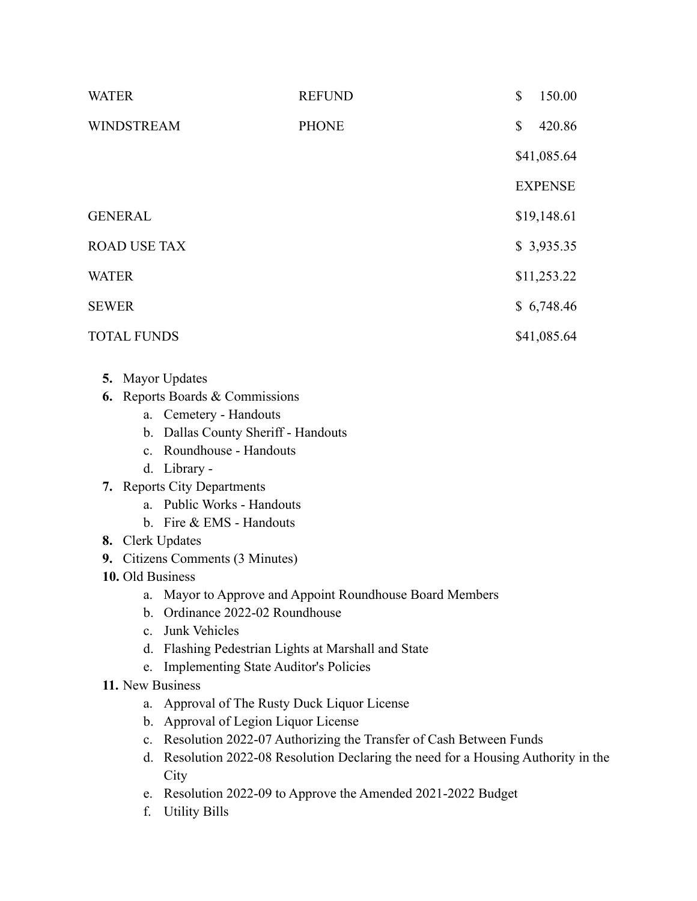| <b>WATER</b>        | <b>REFUND</b> | \$           | 150.00         |
|---------------------|---------------|--------------|----------------|
| <b>WINDSTREAM</b>   | <b>PHONE</b>  | $\mathbb{S}$ | 420.86         |
|                     |               |              | \$41,085.64    |
|                     |               |              | <b>EXPENSE</b> |
| <b>GENERAL</b>      |               |              | \$19,148.61    |
| <b>ROAD USE TAX</b> |               |              | \$3,935.35     |
| <b>WATER</b>        |               |              | \$11,253.22    |
| <b>SEWER</b>        |               |              | \$6,748.46     |
| <b>TOTAL FUNDS</b>  |               |              | \$41,085.64    |

- **5.** Mayor Updates
- **6.** Reports Boards & Commissions
	- a. Cemetery Handouts
	- b. Dallas County Sheriff Handouts
	- c. Roundhouse Handouts
	- d. Library -
- **7.** Reports City Departments
	- a. Public Works Handouts
	- b. Fire & EMS Handouts
- **8.** Clerk Updates
- **9.** Citizens Comments (3 Minutes)
- **10.** Old Business
	- a. Mayor to Approve and Appoint Roundhouse Board Members
	- b. Ordinance 2022-02 Roundhouse
	- c. Junk Vehicles
	- d. Flashing Pedestrian Lights at Marshall and State
	- e. Implementing State Auditor's Policies
- **11.** New Business
	- a. Approval of The Rusty Duck Liquor License
	- b. Approval of Legion Liquor License
	- c. Resolution 2022-07 Authorizing the Transfer of Cash Between Funds
	- d. Resolution 2022-08 Resolution Declaring the need for a Housing Authority in the **City**
	- e. Resolution 2022-09 to Approve the Amended 2021-2022 Budget
	- f. Utility Bills